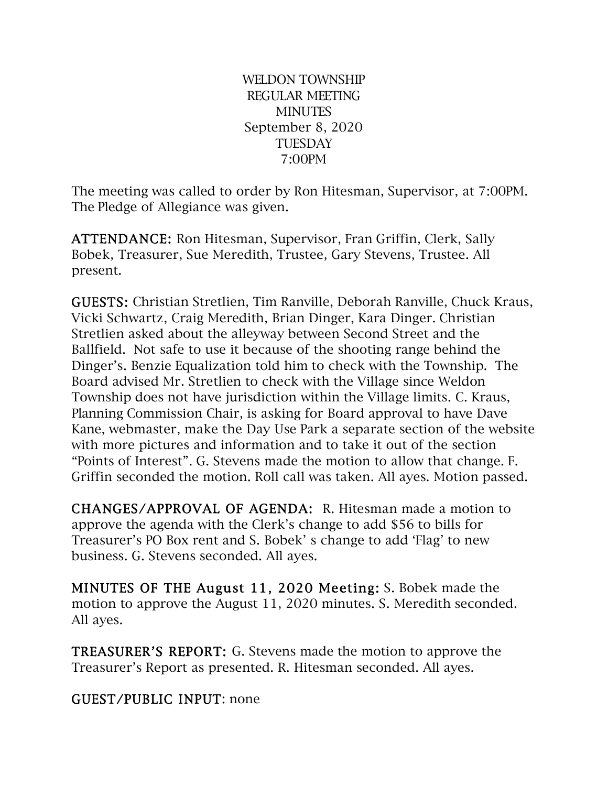WELDON TOWNSHIP REGULAR MEETING **MINUTES** September 8, 2020 **TUESDAY** 7:00PM

The meeting was called to order by Ron Hitesman, Supervisor, at 7:00PM. The Pledge of Allegiance was given.

ATTENDANCE: Ron Hitesman, Supervisor, Fran Griffin, Clerk, Sally Bobek, Treasurer, Sue Meredith, Trustee, Gary Stevens, Trustee. All present.

GUESTS: Christian Stretlien, Tim Ranville, Deborah Ranville, Chuck Kraus, Vicki Schwartz, Craig Meredith, Brian Dinger, Kara Dinger. Christian Stretlien asked about the alleyway between Second Street and the Ballfield. Not safe to use it because of the shooting range behind the Dinger's. Benzie Equalization told him to check with the Township. The Board advised Mr. Stretlien to check with the Village since Weldon Township does not have jurisdiction within the Village limits. C. Kraus, Planning Commission Chair, is asking for Board approval to have Dave Kane, webmaster, make the Day Use Park a separate section of the website with more pictures and information and to take it out of the section "Points of Interest". G. Stevens made the motion to allow that change. F. Griffin seconded the motion. Roll call was taken. All ayes. Motion passed.

CHANGES/APPROVAL OF AGENDA: R. Hitesman made a motion to approve the agenda with the Clerk's change to add \$56 to bills for Treasurer's PO Box rent and S. Bobek' s change to add 'Flag' to new business. G. Stevens seconded. All ayes.

MINUTES OF THE August 11, 2020 Meeting: S. Bobek made the motion to approve the August 11, 2020 minutes. S. Meredith seconded. All ayes.

TREASURER'S REPORT: G. Stevens made the motion to approve the Treasurer's Report as presented. R. Hitesman seconded. All ayes.

GUEST/PUBLIC INPUT: none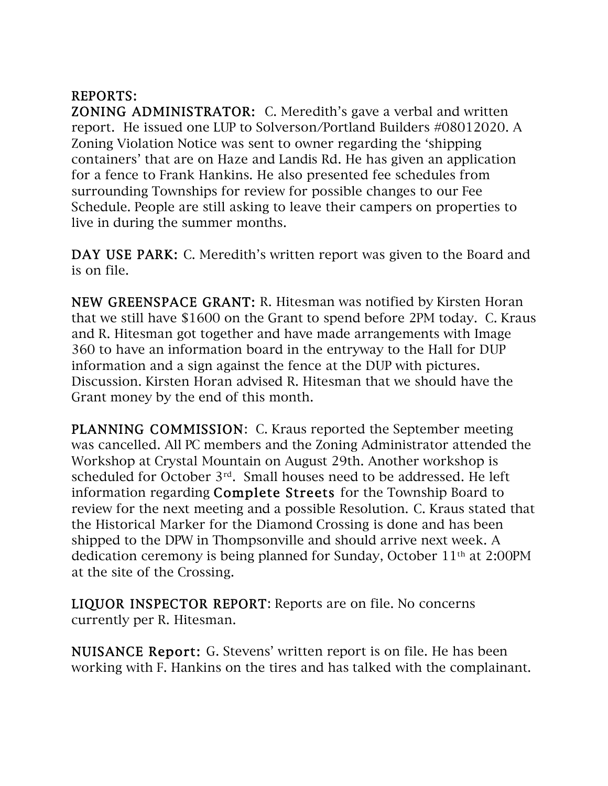## REPORTS:

ZONING ADMINISTRATOR: C. Meredith's gave a verbal and written report. He issued one LUP to Solverson/Portland Builders #08012020. A Zoning Violation Notice was sent to owner regarding the 'shipping containers' that are on Haze and Landis Rd. He has given an application for a fence to Frank Hankins. He also presented fee schedules from surrounding Townships for review for possible changes to our Fee Schedule. People are still asking to leave their campers on properties to live in during the summer months.

DAY USE PARK: C. Meredith's written report was given to the Board and is on file.

NEW GREENSPACE GRANT: R. Hitesman was notified by Kirsten Horan that we still have \$1600 on the Grant to spend before 2PM today. C. Kraus and R. Hitesman got together and have made arrangements with Image 360 to have an information board in the entryway to the Hall for DUP information and a sign against the fence at the DUP with pictures. Discussion. Kirsten Horan advised R. Hitesman that we should have the Grant money by the end of this month.

PLANNING COMMISSION: C. Kraus reported the September meeting was cancelled. All PC members and the Zoning Administrator attended the Workshop at Crystal Mountain on August 29th. Another workshop is scheduled for October 3rd. Small houses need to be addressed. He left information regarding Complete Streets for the Township Board to review for the next meeting and a possible Resolution. C. Kraus stated that the Historical Marker for the Diamond Crossing is done and has been shipped to the DPW in Thompsonville and should arrive next week. A dedication ceremony is being planned for Sunday, October 11th at 2:00PM at the site of the Crossing.

LIQUOR INSPECTOR REPORT: Reports are on file. No concerns currently per R. Hitesman.

NUISANCE Report: G. Stevens' written report is on file. He has been working with F. Hankins on the tires and has talked with the complainant.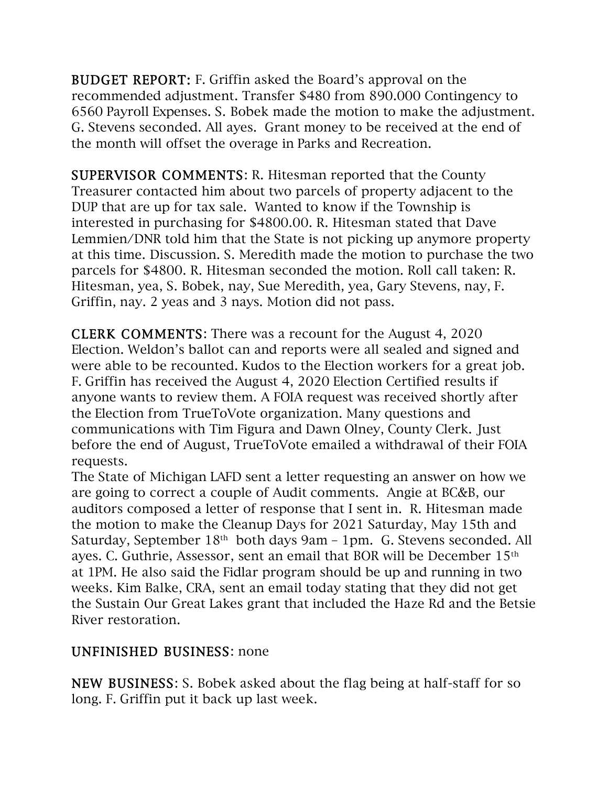BUDGET REPORT: F. Griffin asked the Board's approval on the recommended adjustment. Transfer \$480 from 890.000 Contingency to 6560 Payroll Expenses. S. Bobek made the motion to make the adjustment. G. Stevens seconded. All ayes. Grant money to be received at the end of the month will offset the overage in Parks and Recreation.

SUPERVISOR COMMENTS: R. Hitesman reported that the County Treasurer contacted him about two parcels of property adjacent to the DUP that are up for tax sale. Wanted to know if the Township is interested in purchasing for \$4800.00. R. Hitesman stated that Dave Lemmien/DNR told him that the State is not picking up anymore property at this time. Discussion. S. Meredith made the motion to purchase the two parcels for \$4800. R. Hitesman seconded the motion. Roll call taken: R. Hitesman, yea, S. Bobek, nay, Sue Meredith, yea, Gary Stevens, nay, F. Griffin, nay. 2 yeas and 3 nays. Motion did not pass.

CLERK COMMENTS: There was a recount for the August 4, 2020 Election. Weldon's ballot can and reports were all sealed and signed and were able to be recounted. Kudos to the Election workers for a great job. F. Griffin has received the August 4, 2020 Election Certified results if anyone wants to review them. A FOIA request was received shortly after the Election from TrueToVote organization. Many questions and communications with Tim Figura and Dawn Olney, County Clerk. Just before the end of August, TrueToVote emailed a withdrawal of their FOIA requests.

The State of Michigan LAFD sent a letter requesting an answer on how we are going to correct a couple of Audit comments. Angie at BC&B, our auditors composed a letter of response that I sent in. R. Hitesman made the motion to make the Cleanup Days for 2021 Saturday, May 15th and Saturday, September 18<sup>th</sup> both days 9am – 1pm. G. Stevens seconded. All ayes. C. Guthrie, Assessor, sent an email that BOR will be December 15th at 1PM. He also said the Fidlar program should be up and running in two weeks. Kim Balke, CRA, sent an email today stating that they did not get the Sustain Our Great Lakes grant that included the Haze Rd and the Betsie River restoration.

## UNFINISHED BUSINESS: none

NEW BUSINESS: S. Bobek asked about the flag being at half-staff for so long. F. Griffin put it back up last week.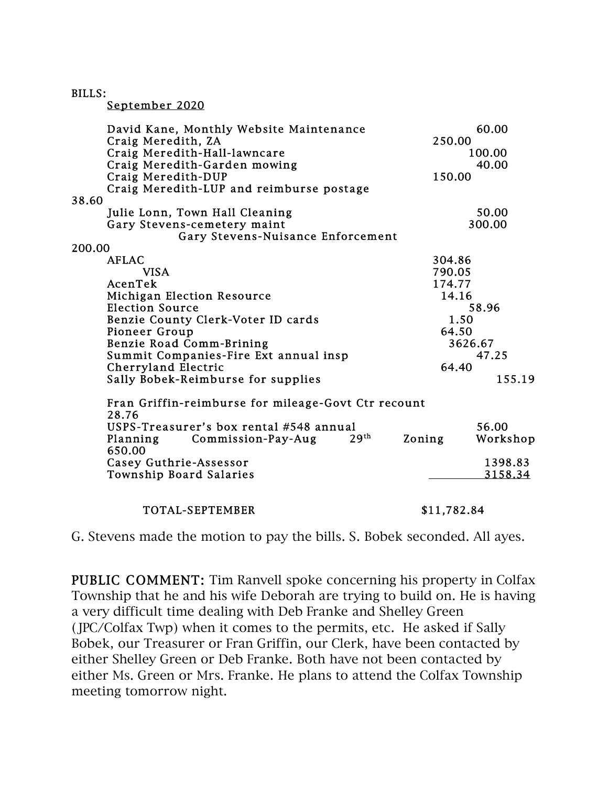BILLS:

September 2020

| David Kane, Monthly Website Maintenance<br>Craig Meredith, ZA | 60.00<br>250.00                        |  |
|---------------------------------------------------------------|----------------------------------------|--|
| Craig Meredith-Hall-lawncare                                  | 100.00                                 |  |
| Craig Meredith-Garden mowing                                  | 40.00                                  |  |
| Craig Meredith-DUP                                            | 150.00                                 |  |
| Craig Meredith-LUP and reimburse postage                      |                                        |  |
| 38.60                                                         |                                        |  |
| Julie Lonn, Town Hall Cleaning                                | 50.00                                  |  |
| Gary Stevens-cemetery maint                                   | 300.00                                 |  |
| Gary Stevens-Nuisance Enforcement                             |                                        |  |
| 200.00                                                        |                                        |  |
| <b>AFLAC</b>                                                  | 304.86                                 |  |
| <b>VISA</b>                                                   | 790.05                                 |  |
| AcenTek                                                       | 174.77                                 |  |
| <b>Michigan Election Resource</b>                             | 14.16                                  |  |
| <b>Election Source</b>                                        | 58.96                                  |  |
| Benzie County Clerk-Voter ID cards                            | 1.50                                   |  |
| Pioneer Group                                                 | 64.50                                  |  |
| Benzie Road Comm-Brining                                      | 3626.67                                |  |
| Summit Companies-Fire Ext annual insp                         | 47.25                                  |  |
| Cherryland Electric                                           | 64.40                                  |  |
| Sally Bobek-Reimburse for supplies                            | 155.19                                 |  |
|                                                               |                                        |  |
| Fran Griffin-reimburse for mileage-Govt Ctr recount<br>28.76  |                                        |  |
| USPS-Treasurer's box rental #548 annual                       | 56.00                                  |  |
| Commission-Pay-Aug<br>Planning                                | 29 <sup>th</sup><br>Zoning<br>Workshop |  |
| 650.00                                                        |                                        |  |
| Casey Guthrie-Assessor                                        | 1398.83                                |  |
| Township Board Salaries                                       | 3158.34                                |  |
|                                                               |                                        |  |
|                                                               |                                        |  |
| TOTAL-SEPTEMBER                                               | \$11,782.84                            |  |

G. Stevens made the motion to pay the bills. S. Bobek seconded. All ayes.

PUBLIC COMMENT: Tim Ranvell spoke concerning his property in Colfax Township that he and his wife Deborah are trying to build on. He is having a very difficult time dealing with Deb Franke and Shelley Green (JPC/Colfax Twp) when it comes to the permits, etc. He asked if Sally Bobek, our Treasurer or Fran Griffin, our Clerk, have been contacted by either Shelley Green or Deb Franke. Both have not been contacted by either Ms. Green or Mrs. Franke. He plans to attend the Colfax Township meeting tomorrow night.